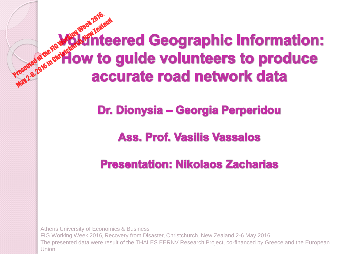Presented at the FIG Working Week 2016, May 2-6, 2016 in Christ<sup>ch</sup> Ow to

Dr. Dionysia – Georgia Perperidou

**Ass. Prof. Vasilis Vassalos** 

**Presentation: Nikolaos Zacharias** 

Athens University of Economics & Business FIG Working Week 2016, Recovery from Disaster, Christchurch, New Zealand 2-6 May 2016 The presented data were result of the THALES EERNV Research Project, co-financed by Greece and the European Union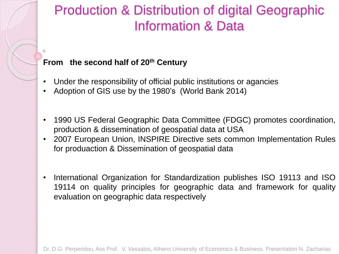#### Production & Distribution of digital Geographic Information & Data

#### **From the second half of 20th Century**

- Under the responsibility of official public institutions or agancies
- Adoption of GIS use by the 1980's (World Bank 2014)
- 1990 US Federal Geographic Data Committee (FDGC) promotes coordination, production & dissemination of geospatial data at USA
- 2007 European Union, INSPIRE Directive sets common Implementation Rules for produaction & Dissemination of geospatial data
- International Organization for Standardization publishes ISO 19113 and ISO 19114 on quality principles for geographic data and framework for quality evaluation on geographic data respectively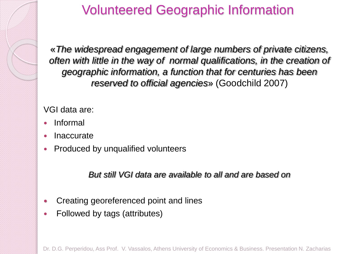

# Volunteered Geographic Information

«*The widespread engagement of large numbers of private citizens, often with little in the way of normal qualifications, in the creation of geographic information, a function that for centuries has been reserved to official agencies*» (Goodchild 2007)

VGI data are:

- Informal
- Inaccurate
- Produced by unqualified volunteers

*But still VGI data are available to all and are based on*

- Creating georeferenced point and lines
- Followed by tags (attributes)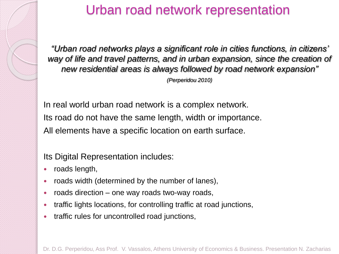

#### Urban road network representation

*"Urban road networks plays a significant role in cities functions, in citizens' way of life and travel patterns, and in urban expansion, since the creation of new residential areas is always followed by road network expansion" (Perperidou 2010)*

In real world urban road network is a complex network. Its road do not have the same length, width or importance. All elements have a specific location on earth surface.

Its Digital Representation includes:

- roads length,
- roads width (determined by the number of lanes),
- roads direction one way roads two-way roads,
- traffic lights locations, for controlling traffic at road junctions,
- traffic rules for uncontrolled road junctions,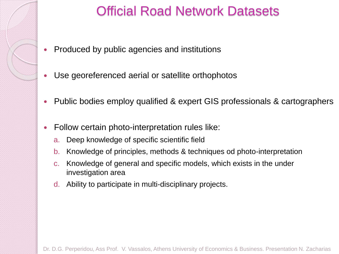

## Official Road Network Datasets

- Produced by public agencies and institutions
- Use georeferenced aerial or satellite orthophotos
- Public bodies employ qualified & expert GIS professionals & cartographers
- Follow certain photo-interpretation rules like:
	- a. Deep knowledge of specific scientific field
	- b. Knowledge of principles, methods & techniques od photo-interpretation
	- c. Knowledge of general and specific models, which exists in the under investigation area
	- d. Ability to participate in multi-disciplinary projects.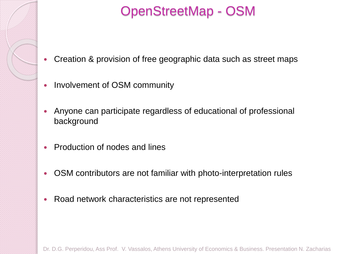

# OpenStreetMap - OSM

- Creation & provision of free geographic data such as street maps
- Involvement of OSM community
- Anyone can participate regardless of educational of professional background
- Production of nodes and lines
- OSM contributors are not familiar with photo-interpretation rules
- Road network characteristics are not represented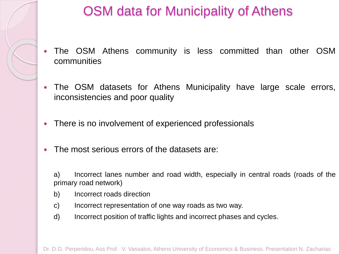

# OSM data for Municipality of Athens

- The OSM Athens community is less committed than other OSM communities
- The OSM datasets for Athens Municipality have large scale errors, inconsistencies and poor quality
- There is no involvement of experienced professionals
- The most serious errors of the datasets are:
	- a) Incorrect lanes number and road width, especially in central roads (roads of the primary road network)
	- b) Incorrect roads direction
	- c) Incorrect representation of one way roads as two way.
	- d) Incorrect position of traffic lights and incorrect phases and cycles.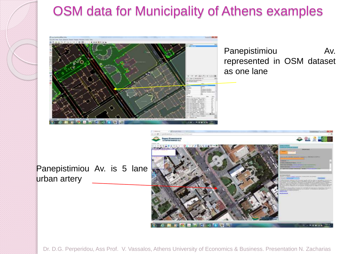

# OSM data for Municipality of Athens examples



Panepistimiou Av. represented in OSM dataset as one lane

Panepistimiou Av. is 5 lane urban artery

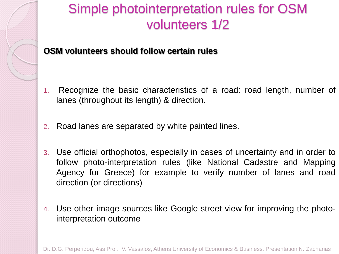

**OSM volunteers should follow certain rules**

- 1. Recognize the basic characteristics of a road: road length, number of lanes (throughout its length) & direction.
- 2. Road lanes are separated by white painted lines.
- 3. Use official orthophotos, especially in cases of uncertainty and in order to follow photo-interpretation rules (like National Cadastre and Mapping Agency for Greece) for example to verify number of lanes and road direction (or directions)
- 4. Use other image sources like Google street view for improving the photointerpretation outcome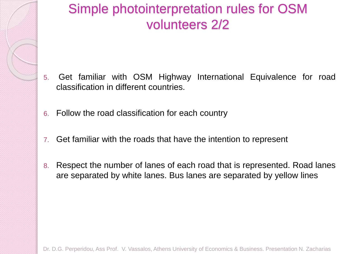## Simple photointerpretation rules for OSM volunteers 2/2

- 5. Get familiar with OSM Highway International Equivalence for road classification in different countries.
- 6. Follow the road classification for each country
- 7. Get familiar with the roads that have the intention to represent
- 8. Respect the number of lanes of each road that is represented. Road lanes are separated by white lanes. Bus lanes are separated by yellow lines